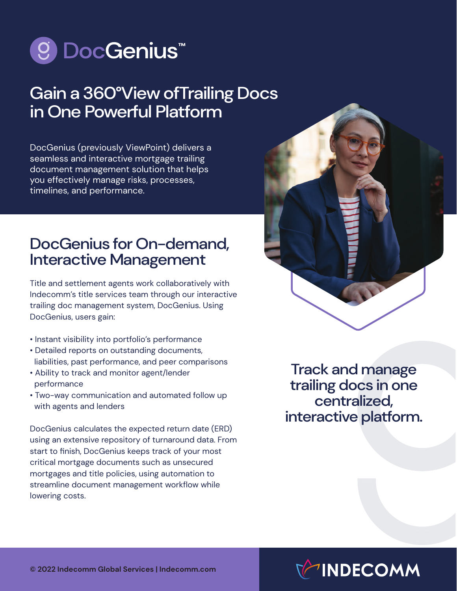

## Gain a 360°View ofTrailing Docs in One Powerful Platform

DocGenius (previously ViewPoint) delivers a seamless and interactive mortgage trailing document management solution that helps you effectively manage risks, processes, timelines, and performance.

## DocGenius for On-demand, Interactive Management

Title and settlement agents work collaboratively with Indecomm's title services team through our interactive trailing doc management system, DocGenius. Using DocGenius, users gain:

- Instant visibility into portfolio's performance
- Detailed reports on outstanding documents, liabilities, past performance, and peer comparisons
- Ability to track and monitor agent/lender performance
- Two-way communication and automated follow up with agents and lenders

DocGenius calculates the expected return date (ERD) using an extensive repository of turnaround data. From start to finish, DocGenius keeps track of your most critical mortgage documents such as unsecured mortgages and title policies, using automation to streamline document management workflow while lowering costs.



Track and manage trailing docs in one centralized, interactive platform.

## **INDECOMM**